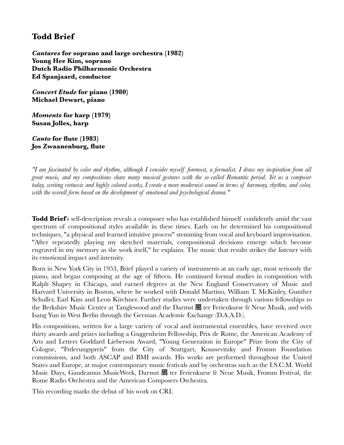# **Todd Brief**

*Cantares* **for soprano and large orchestra (1982) Young Hee Kim, soprano Dutch Radio Philharmonic Orchestra Ed Spanjaard, conductor**

*Concert Etude* **for piano (1980) Michael Dewart, piano**

*Moments* **for harp (1979) Susan Jolles, harp** 

*Canto* **for flute (1983) Jos Zwaanenburg, flute**

"I am fascinated by color and rhythm, although I consider myself foremost, a formalist. I draw my inspiration from all great music, and my compositions share many musical gestures with the so-called Romantic period. Yet as a composer today, writing virtuosic and highly colored works, I create a more modernist sound in terms of harmony, rhythm, and color, *with the overall form based on the development of emotional and psychological drama."*

**Todd Brief**'s self-description reveals a composer who has established himself confidently amid the vast spectrum of compositional styles available in these times. Early on he determined his compositional techniques, "a physical and learned intuitive process" stemming from vocal and keyboard improvisation. "After repeatedly playing my sketched materials, compositional decisions emerge which become engraved in my memory as the work itself," he explains. The music that results strikes the listener with its emotional impact and intensity.

Born in New York City in 1953, Brief played a variety of instruments at an early age, most seriously the piano, and began composing at the age of fifteen. He continued formal studies in composition with Ralph Shapey in Chicago, and earned degrees at the New England Conservatory of Music and Harvard University in Boston, where he worked with Donald Martino, William T. McKinley, Gunther Schuller, Earl Kim and Leon Kirchner. Further studies were undertaken through various fellowships to the Berkshire Music Center at Tanglewood and the Darmst 臈 ter Ferienkurse fr Neue Musik, and with Isang Yun in West Berlin through the German Academic Exchange (D.A.A.D.).

His compositions, written for a large variety of vocal and instrumental ensembles, have received over thirty awards and prizes including a Guggenheim Fellowship, Prix de Rome, the American Academy of Arts and Letters Goddard Lieberson Award, "Young Generation in Europe" Prize from the City of Cologne, "Frderungspreis" from the City of Stuttgart, Koussevitzky and Fromm Foundation commissions, and both ASCAP and BMI awards. His works are performed throughout the United States and Europe, at major contemporary music festivals and by orchestras such as the I.S.C.M. World Music Days, Gaudeamus MusicWeek, Darmst 臈 ter Ferienkurse fr Neue Musik, Fromm Festival, the Rome Radio Orchestra and the American Composers Orchestra.

This recording marks the debut of his work on CRI.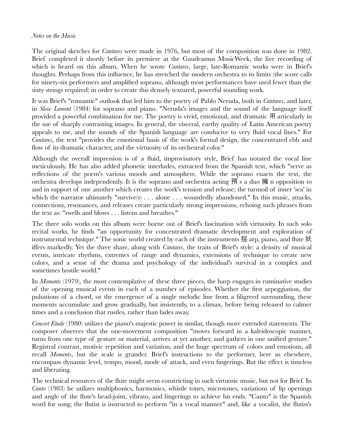### *Notes on the Music*

The original sketches for *Cantares* were made in 1976, but most of the composition was done in 1982. Brief completed it shortly before its premiere at the Gaudeamus MusicWeek, the live recording of which is heard on this album, When he wrote *Cantares*, large, late-Romantic works were in Brief's thoughts. Perhaps from this influence, he has stretched the modern orchestra to its limits (the score calls for ninety-six performers and amplified soprano, although most performances have used fewer than the sixty strings required) in order to create this densely textured, powerful sounding work.

It was Brief's "romantic" outlook that led him to the poetry of Pablo Neruda, both in *Cantares*, and later, in *Slow Lament* (1984) for soprano and piano. "Neruda's images and the sound of the language itself provided a powerful combination for me. The poetry is vivid, emotional, and dramatic 用 articularly in the use of sharply contrasting images. In general, the visceral, earthy quality of Latin American poetry appeals to me, and the sounds of the Spanish language are conducive to very fluid vocal lines." For *Cantares*, the text "provides the emotional basis of the work's formal design, the concentrated ebb and flow of its dramatic character, and the virtuosity of its orchestral color."

Although the overall impression is of a fluid, improvisatory style, Brief has notated the vocal line meticulously. He has also added phonetic interludes, extracted from the Spanish text, which "serve as reflections of the poem's various moods and atmosphere. While the soprano enacts the text, the orchestra develops independently. It is the soprano and orchestra acting 預 s a duo 擁 n opposition to and in support of one another which creates the work's tension and release; the turmoil of inner 'sea' in which the narrator ultimately "survive(s)  $\dots$  alone  $\dots$  woundedly abandoned." In this music, attacks, connections, resonances, and releases create particularly strong impressions, echoing such phrases from the text as: "swells and blows . . . listens and breathes."

The three solo works on this album were borne out of Brief's fascination with virtuosity. In such solo recital works, he finds "an opportunity for concentrated dramatic development and exploration of instrumental technique." The sonic world created by each of the instruments 揺 arp, piano, and flute 妖 iffers markedly. Yet the three share, along with *Cantares*, the traits of Brief's style: a density of musical events, intricate rhythms, extremes of range and dynamics, extensions of technique to create new colors, and a sense of the drama and psychology of the individual's survival in a complex and sometimes hostile world."

In *Moments* (1979), the most contemplative of these three pieces, the harp engages in ruminative studies of the opening musical events in each of a number of episodes. Whether the first arpeggiation, the pulsations of a chord, or the emergence of a single melodic line from a filigreed surrounding, these moments accumulate and grow gradually, but insistently, to a climax, before being released to calmer times and a conclusion that rustles, rather than fades away.

*Concert Etude* (1980) utilizes the piano's majestic power in similar, though more extended statements. The composer observes that the one-movement composition "moves forward in a kaleidoscopic manner, turns from one type of gesture or material, arrives at yet another, and gathers in one unified gesture." Registral contrast, motivic repetition and variation, and the huge spectrum of colors and emotions, all recall *Moments*, but the scale is grander. Brief's instructions to the performer, here as elsewhere, encompass dynamic level, tempo, mood, mode of attack, and even fingerings. But the effect is timeless and liberating.

The technical resources of the flute might seem constricting in such virtuosic music, but not for Brief. In *Canto* (1983) he utilizes multiphonics, harmonics, whistle tones, microtones, variations of lip openings and angle of the flute's head-joint, vibrato, and fingerings to achieve his ends. "Canto" is the Spanish word for song; the flutist is instructed to perform "in a vocal manner" and, like a vocalist, the flutist's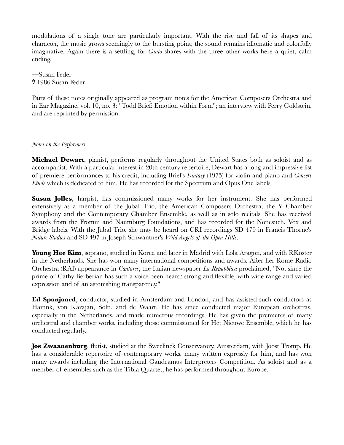modulations of a single tone are particularly important. With the rise and fall of its shapes and character, the music grows seemingly to the bursting point; the sound remains idiomatic and colorfully imaginative. Again there is a settling, for *Canto* shares with the three other works here a quiet, calm ending.

—Susan Feder ゥ 1986 Susan Feder

Parts of these notes originally appeared as program notes for the American Composers Orchestra and in Ear Magazine, vol. 10, no. 3: "Todd Brief: Emotion within Form"; an interview with Perry Goldstein, and are reprinted by permission.

## *Notes on the Performers*

**Michael Dewart**, pianist, performs regularly throughout the United States both as soloist and as accompanist. With a particular interest in 20th century repertoire, Dewart has a long and impressive list of premiere performances to his credit, including Brief's *Fantasy* (1975) for violin and piano and *Concert Etude* which is dedicated to him. He has recorded for the Spectrum and Opus One labels.

**Susan Jolles**, harpist, has commissioned many works for her instrument. She has performed extensively as a member of the Jubal Trio, the American Composers Orchestra, the Y Chamber Symphony and the Contemporary Chamber Ensemble, as well as in solo recitals. She has received awards from the Fromm and Naumburg Foundations, and has recorded for the Nonesuch, Vox and Bridge labels. With the Jubal Trio, she may be heard on CRI recordings SD 479 in Francis Thorne's *Nature Studies* and SD 497 in Joseph Schwantner's *Wild Angels of the Open Hills*.

**Young Hee Kim**, soprano, studied in Korea and later in Madrid with Lola Aragon, and with RKoster in the Netherlands. She has won many international competitions and awards. After her Rome Radio Orchestra (RAI) appearance in *Cantares*, the Italian newspaper *La Repubblica* proclaimed, "Not since the prime of Cathy Berberian has such a voice been heard: strong and flexible, with wide range and varied expression and of an astonishing transparency."

**Ed Spanjaard**, conductor, studied in Amsterdam and London, and has assisted such conductors as Haitink, von Karajan, Solti, and de Waart. He has since conducted major European orchestras, especially in the Netherlands, and made numerous recordings. He has given the premieres of many orchestral and chamber works, including those commissioned for Het Nieuwe Ensemble, which he has conducted regularly.

**Jos Zwaanenburg**, flutist, studied at the Sweelinck Conservatory, Amsterdam, with Joost Tromp. He has a considerable repertoire of contemporary works, many written expressly for him, and has won many awards including the International Gaudeamus Interpreters Competition. As soloist and as a member of ensembles such as the Tibia Quartet, he has performed throughout Europe.